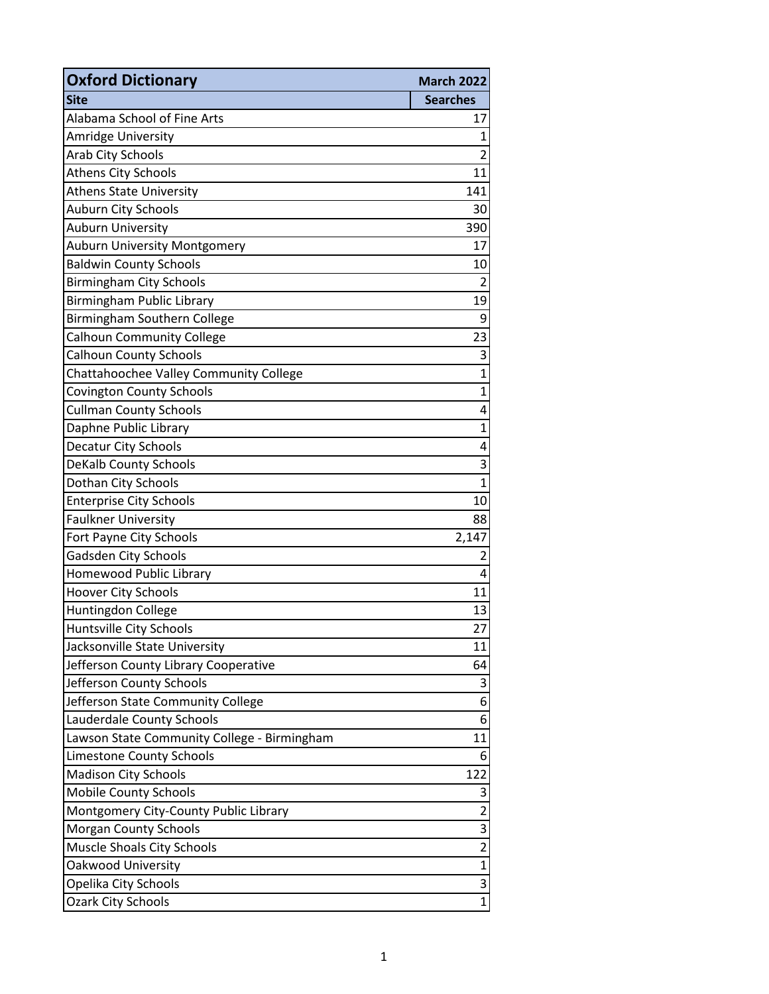| <b>Oxford Dictionary</b>                    | <b>March 2022</b> |
|---------------------------------------------|-------------------|
| <b>Site</b>                                 | <b>Searches</b>   |
| Alabama School of Fine Arts                 | 17                |
| <b>Amridge University</b>                   | 1                 |
| Arab City Schools                           | $\overline{2}$    |
| <b>Athens City Schools</b>                  | 11                |
| <b>Athens State University</b>              | 141               |
| <b>Auburn City Schools</b>                  | 30                |
| <b>Auburn University</b>                    | 390               |
| Auburn University Montgomery                | 17                |
| <b>Baldwin County Schools</b>               | 10                |
| <b>Birmingham City Schools</b>              | $\overline{2}$    |
| Birmingham Public Library                   | 19                |
| Birmingham Southern College                 | 9                 |
| <b>Calhoun Community College</b>            | 23                |
| <b>Calhoun County Schools</b>               | 3                 |
| Chattahoochee Valley Community College      | $\overline{1}$    |
| <b>Covington County Schools</b>             | $\mathbf 1$       |
| <b>Cullman County Schools</b>               | 4                 |
| Daphne Public Library                       | $\overline{1}$    |
| <b>Decatur City Schools</b>                 | 4                 |
| <b>DeKalb County Schools</b>                | 3                 |
| Dothan City Schools                         | $\overline{1}$    |
| <b>Enterprise City Schools</b>              | 10                |
| <b>Faulkner University</b>                  | 88                |
| Fort Payne City Schools                     | 2,147             |
| Gadsden City Schools                        | 2                 |
| Homewood Public Library                     | 4                 |
| <b>Hoover City Schools</b>                  | 11                |
| Huntingdon College                          | 13                |
| Huntsville City Schools                     | 27                |
| Jacksonville State University               | 11                |
| Jefferson County Library Cooperative        | 64                |
| Jefferson County Schools                    | 3                 |
| Jefferson State Community College           | 6                 |
| Lauderdale County Schools                   | 6                 |
| Lawson State Community College - Birmingham | 11                |
| Limestone County Schools                    | 6                 |
| <b>Madison City Schools</b>                 | 122               |
| <b>Mobile County Schools</b>                | 3                 |
| Montgomery City-County Public Library       | $\overline{2}$    |
| <b>Morgan County Schools</b>                | 3                 |
| Muscle Shoals City Schools                  | $\overline{2}$    |
| Oakwood University                          | $\mathbf 1$       |
| Opelika City Schools                        | 3                 |
| <b>Ozark City Schools</b>                   | $\overline{1}$    |